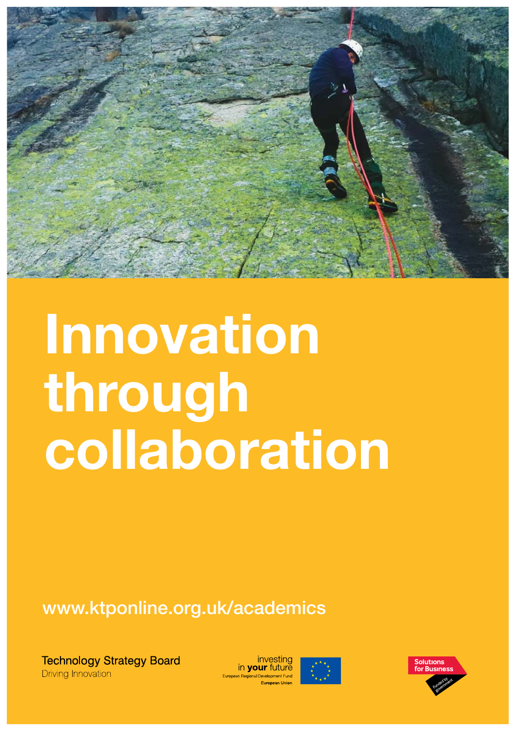

# **Innovation**<br>through **collaboration**

**www.ktponline.org.uk/academics**

**Technology Strategy Board Driving Innovation** 

in **your** futur



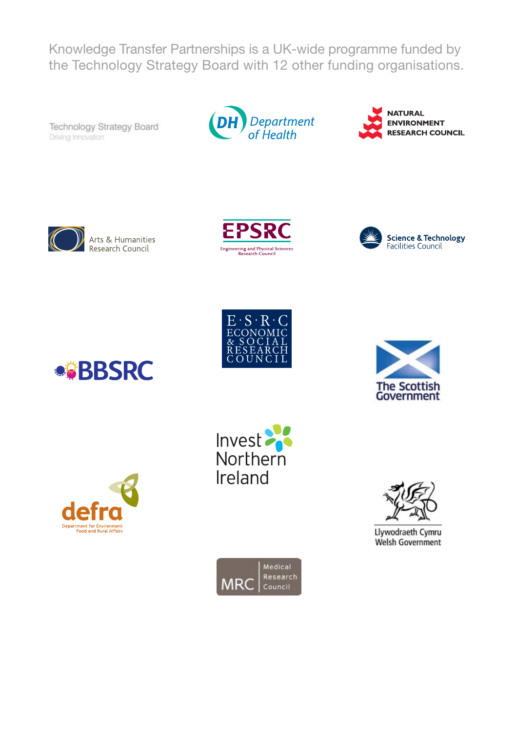Knowledge Transfer Partnerships is a UK-wide programme funded by the Technology Strategy Board with 12 other funding organisations.

Technology Strategy Board Driving Innovation



**NATURAL ENVIRONMENT RESEARCH COUNCIL** 



Arts & Humanities Research Council















Llywodraeth Cymru Welsh Government



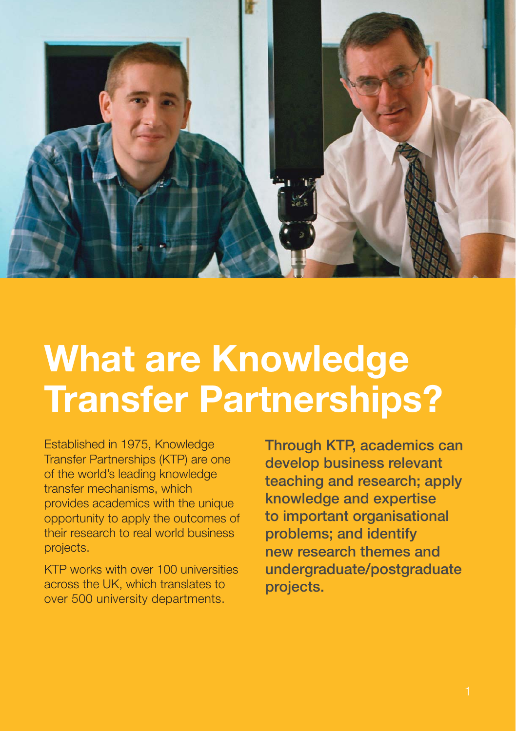

#### **What are Knowledge Transfer Partnerships?**

Established in 1975, Knowledge Transfer Partnerships (KTP) are one of the world's leading knowledge transfer mechanisms, which provides academics with the unique opportunity to apply the outcomes of their research to real world business projects.

KTP works with over 100 universities across the UK, which translates to over 500 university departments.

**Through KTP, academics can develop business relevant teaching and research; apply knowledge and expertise to important organisational problems; and identify new research themes and undergraduate/postgraduate projects.**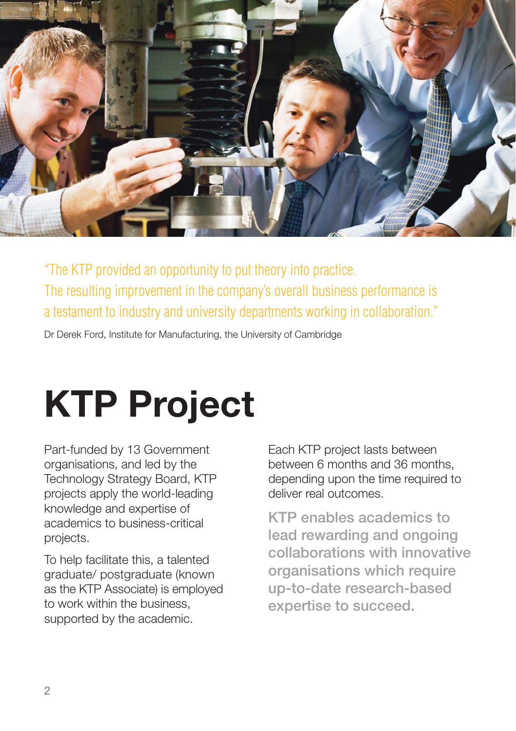

"The KTP provided an opportunity to put theory into practice. The resulting improvement in the company's overall business performance is a testament to industry and university departments working in collaboration."

Dr Derek Ford, Institute for Manufacturing, the University of Cambridge

## **KTP Project**

Part-funded by 13 Government organisations, and led by the Technology Strategy Board, KTP projects apply the world-leading knowledge and expertise of academics to business-critical projects.

To help facilitate this, a talented graduate/ postgraduate (known as the KTP Associate) is employed to work within the business, supported by the academic.

Each KTP project lasts between between 6 months and 36 months, depending upon the time required to deliver real outcomes.

**KTP enables academics to lead rewarding and ongoing collaborations with innovative organisations which require up-to-date research-based expertise to succeed.**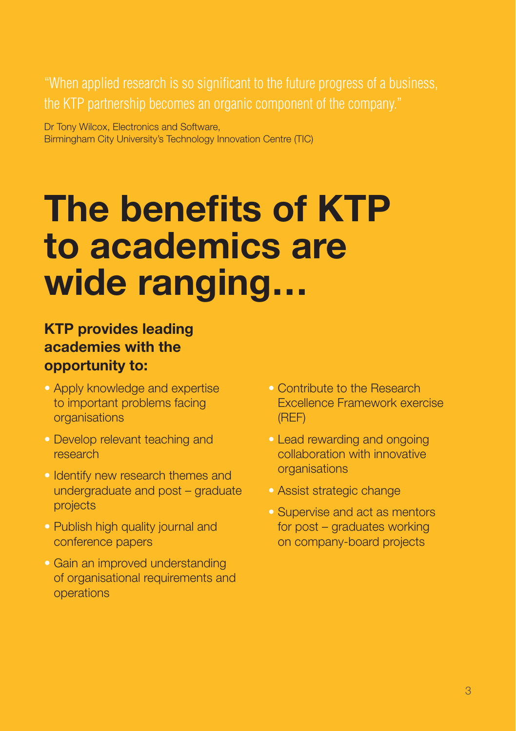"When applied research is so significant to the future progress of a business, the KTP partnership becomes an organic component of the company."

Dr Tony Wilcox, Electronics and Software, Birmingham City University's Technology Innovation Centre (TIC)

#### **The benefits of KTP to academics are wide ranging…**

#### **KTP provides leading academies with the opportunity to:**

- Apply knowledge and expertise to important problems facing organisations
- Develop relevant teaching and research
- · Identify new research themes and undergraduate and post – graduate projects
- Publish high quality journal and conference papers
- Gain an improved understanding of organisational requirements and operations
- Contribute to the Research Excellence Framework exercise (REF)
- Lead rewarding and ongoing collaboration with innovative organisations
- Assist strategic change
- Supervise and act as mentors for post – graduates working on company-board projects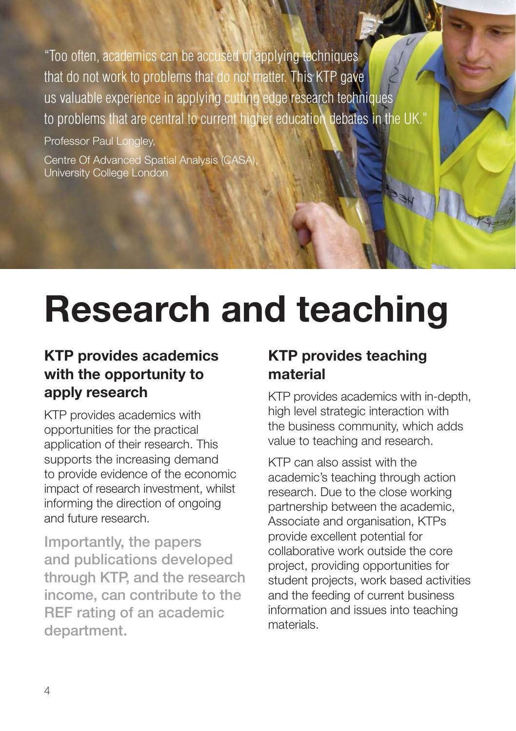"Too often, academics can be accused of applying techniques that do not work to problems that do not matter. This KTP gave us valuable experience in applying cutting edge research techniques to problems that are central to current higher education debates in the UK."

Professor Paul Longley,

Centre Of Advanced Spatial Analysis (CASA)<br>University College London

### **Research and teaching**

#### **KTP provides academics with the opportunity to apply research**

KTP provides academics with opportunities for the practical application of their research. This supports the increasing demand to provide evidence of the economic impact of research investment, whilst informing the direction of ongoing and future research.

**Importantly, the papers and publications developed through KTP, and the research income, can contribute to the REF rating of an academic department.**

#### **KTP provides teaching material**

KTP provides academics with in-depth, high level strategic interaction with the business community, which adds value to teaching and research.

KTP can also assist with the academic's teaching through action research. Due to the close working partnership between the academic, Associate and organisation, KTPs provide excellent potential for collaborative work outside the core project, providing opportunities for student projects, work based activities and the feeding of current business information and issues into teaching materials.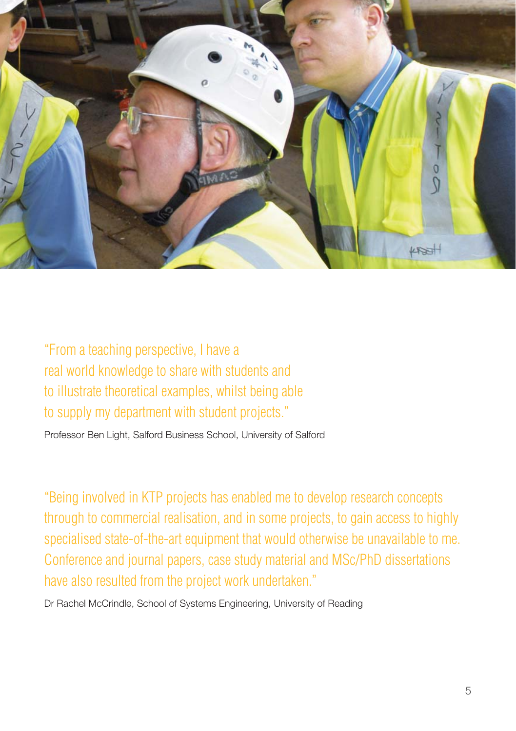

"From a teaching perspective, I have a real world knowledge to share with students and to illustrate theoretical examples, whilst being able to supply my department with student projects."

Professor Ben Light, Salford Business School, University of Salford

"Being involved in KTP projects has enabled me to develop research concepts through to commercial realisation, and in some projects, to gain access to highly specialised state-of-the-art equipment that would otherwise be unavailable to me. Conference and journal papers, case study material and MSc/PhD dissertations have also resulted from the project work undertaken."

Dr Rachel McCrindle, School of Systems Engineering, University of Reading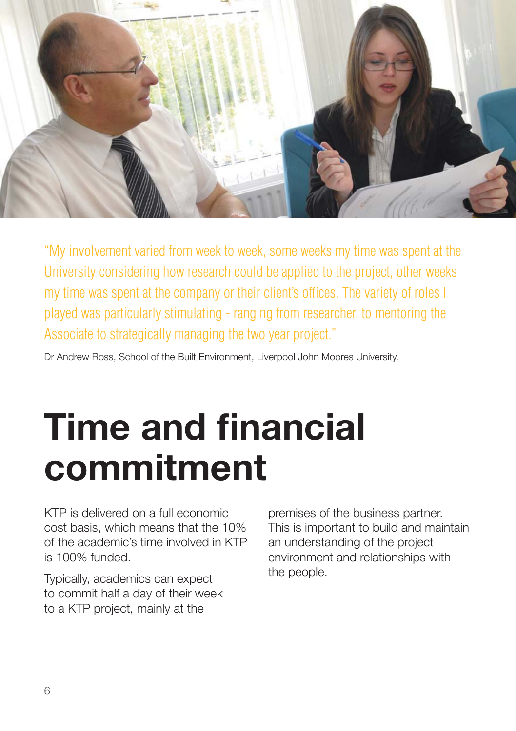

"My involvement varied from week to week, some weeks my time was spent at the University considering how research could be applied to the project, other weeks my time was spent at the company or their client's offices. The variety of roles I played was particularly stimulating - ranging from researcher, to mentoring the Associate to strategically managing the two year project."

Dr Andrew Ross, School of the Built Environment, Liverpool John Moores University.

### **Time and financial commitment**

KTP is delivered on a full economic cost basis, which means that the 10% of the academic's time involved in KTP is 100% funded.

Typically, academics can expect to commit half a day of their week to a KTP project, mainly at the

premises of the business partner. This is important to build and maintain an understanding of the project environment and relationships with the people.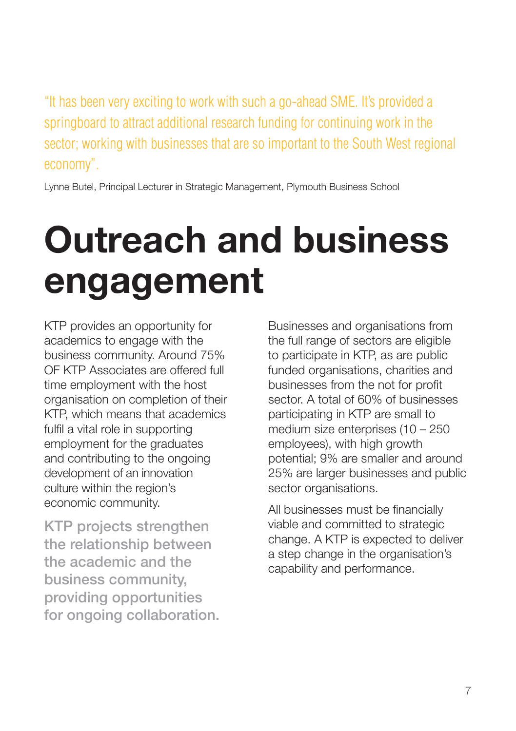"It has been very exciting to work with such a go-ahead SME. It's provided a springboard to attract additional research funding for continuing work in the sector; working with businesses that are so important to the South West regional economy".

Lynne Butel, Principal Lecturer in Strategic Management, Plymouth Business School

### **Outreach and business engagement**

KTP provides an opportunity for academics to engage with the business community. Around 75% OF KTP Associates are offered full time employment with the host organisation on completion of their KTP, which means that academics fulfil a vital role in supporting employment for the graduates and contributing to the ongoing development of an innovation culture within the region's economic community.

**KTP projects strengthen the relationship between the academic and the business community, providing opportunities for ongoing collaboration.** Businesses and organisations from the full range of sectors are eligible to participate in KTP, as are public funded organisations, charities and businesses from the not for profit sector. A total of 60% of businesses participating in KTP are small to medium size enterprises (10 – 250 employees), with high growth potential; 9% are smaller and around 25% are larger businesses and public sector organisations.

All businesses must be financially viable and committed to strategic change. A KTP is expected to deliver a step change in the organisation's capability and performance.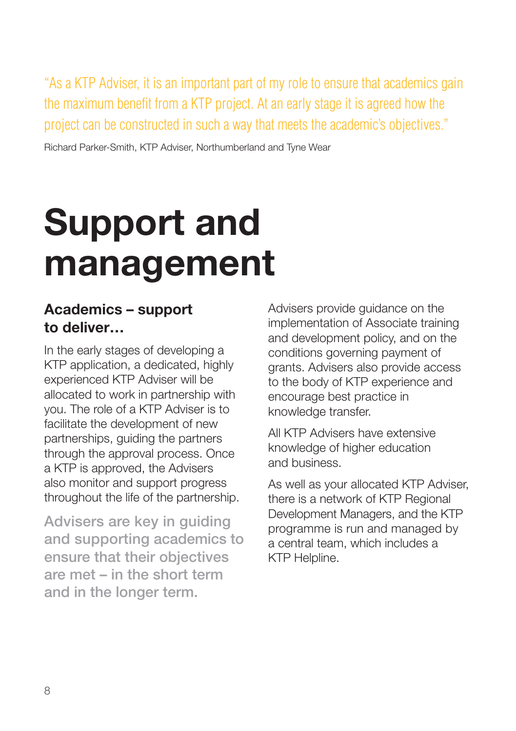"As a KTP Adviser, it is an important part of my role to ensure that academics gain the maximum benefit from a KTP project. At an early stage it is agreed how the project can be constructed in such a way that meets the academic's objectives."

Richard Parker-Smith, KTP Adviser, Northumberland and Tyne Wear

### **Support and management**

#### **Academics – support to deliver…**

In the early stages of developing a KTP application, a dedicated, highly experienced KTP Adviser will be allocated to work in partnership with you. The role of a KTP Adviser is to facilitate the development of new partnerships, guiding the partners through the approval process. Once a KTP is approved, the Advisers also monitor and support progress throughout the life of the partnership.

**Advisers are key in guiding and supporting academics to ensure that their objectives are met – in the short term and in the longer term.**

Advisers provide guidance on the implementation of Associate training and development policy, and on the conditions governing payment of grants. Advisers also provide access to the body of KTP experience and encourage best practice in knowledge transfer.

All KTP Advisers have extensive knowledge of higher education and business.

As well as your allocated KTP Adviser, there is a network of KTP Regional Development Managers, and the KTP programme is run and managed by a central team, which includes a KTP Helpline.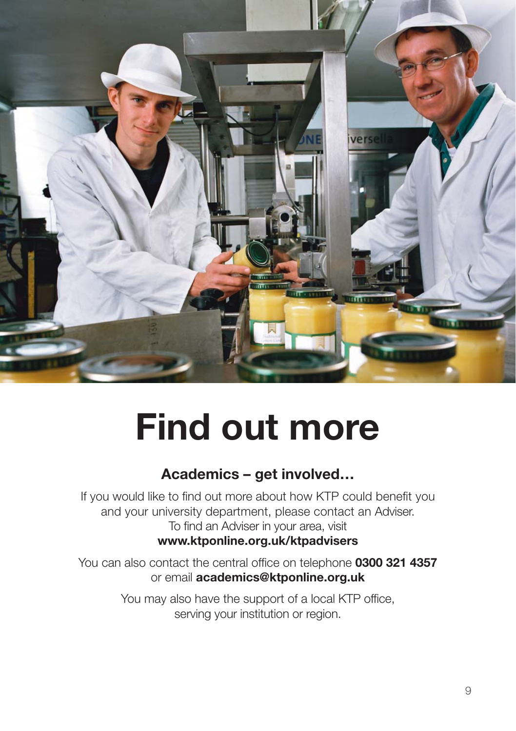

### **Find out more**

#### **Academics – get involved…**

If you would like to find out more about how KTP could benefit you and your university department, please contact an Adviser. To find an Adviser in your area, visit **www.ktponline.org.uk/ktpadvisers**

You can also contact the central office on telephone **0300 321 4357** or email **academics@ktponline.org.uk**

> You may also have the support of a local KTP office, serving your institution or region.